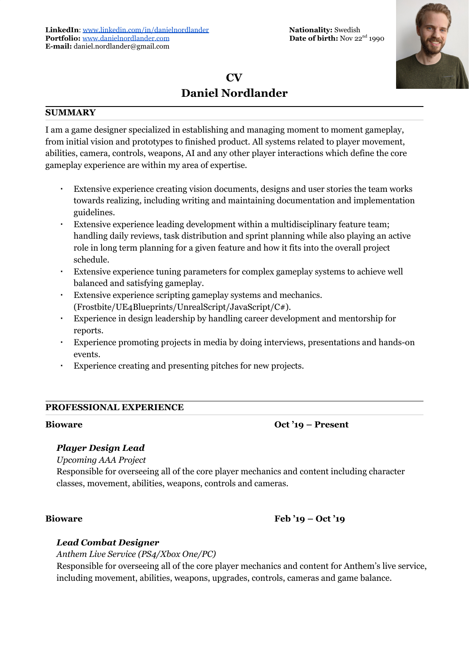# **CV Daniel Nordlander**

### **SUMMARY**

I am a game designer specialized in establishing and managing moment to moment gameplay, from initial vision and prototypes to finished product. All systems related to player movement, abilities, camera, controls, weapons, AI and any other player interactions which define the core gameplay experience are within my area of expertise.

- Extensive experience creating vision documents, designs and user stories the team works towards realizing, including writing and maintaining documentation and implementation guidelines.
- Extensive experience leading development within a multidisciplinary feature team; handling daily reviews, task distribution and sprint planning while also playing an active role in long term planning for a given feature and how it fits into the overall project schedule.
- Extensive experience tuning parameters for complex gameplay systems to achieve well balanced and satisfying gameplay.
- Extensive experience scripting gameplay systems and mechanics. (Frostbite/UE4Blueprints/UnrealScript/JavaScript/C#).
- Experience in design leadership by handling career development and mentorship for reports.
- Experience promoting projects in media by doing interviews, presentations and hands-on events.
- Experience creating and presenting pitches for new projects.

# **PROFESSIONAL EXPERIENCE**

**Bioware Oct '19 – Present**

### *Player Design Lead*

*Upcoming AAA Project*

Responsible for overseeing all of the core player mechanics and content including character classes, movement, abilities, weapons, controls and cameras.

# **Bioware Feb '19 – Oct '19**

### *Lead Combat Designer*

*Anthem Live Service (PS4/Xbox One/PC)* Responsible for overseeing all of the core player mechanics and content for Anthem's live service, including movement, abilities, weapons, upgrades, controls, cameras and game balance.

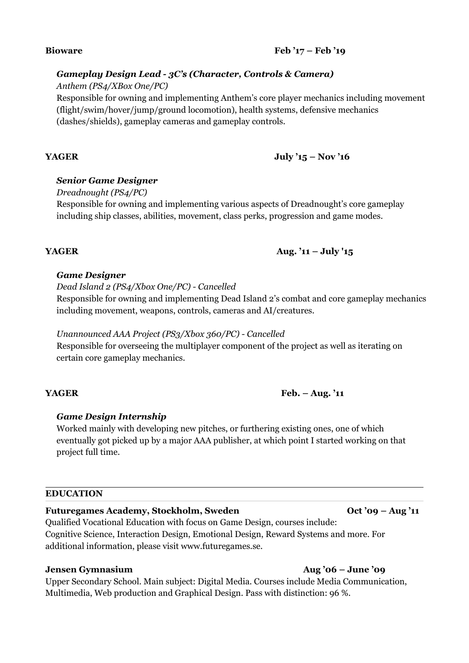### **Bioware Feb '17 – Feb '19**

## *Gameplay Design Lead - 3C's (Character, Controls & Camera)*

*Anthem (PS4/XBox One/PC)*

Responsible for owning and implementing Anthem's core player mechanics including movement (flight/swim/hover/jump/ground locomotion), health systems, defensive mechanics (dashes/shields), gameplay cameras and gameplay controls.

# **YAGER July '15 – Nov '16**

## *Senior Game Designer*

*Dreadnought (PS4/PC)*

Responsible for owning and implementing various aspects of Dreadnought's core gameplay including ship classes, abilities, movement, class perks, progression and game modes.

### *Game Designer*

## *Dead Island 2 (PS4/Xbox One/PC) - Cancelled*

Responsible for owning and implementing Dead Island 2's combat and core gameplay mechanics including movement, weapons, controls, cameras and AI/creatures.

# *Unannounced AAA Project (PS3/Xbox 360/PC) - Cancelled*

Responsible for overseeing the multiplayer component of the project as well as iterating on certain core gameplay mechanics.

# *Game Design Internship*

Worked mainly with developing new pitches, or furthering existing ones, one of which eventually got picked up by a major AAA publisher, at which point I started working on that project full time.

### **EDUCATION**

### **Futuregames Academy, Stockholm, Sweden Oct '09 – Aug '11**

Qualified Vocational Education with focus on Game Design, courses include: Cognitive Science, Interaction Design, Emotional Design, Reward Systems and more. For additional information, please visit www.futuregames.se.

### **Jensen Gymnasium Aug '06 – June '09**

Upper Secondary School. Main subject: Digital Media. Courses include Media Communication, Multimedia, Web production and Graphical Design. Pass with distinction: 96 %.

### **YAGER Feb. – Aug. '11**

**YAGER Aug. '11 – July '15**